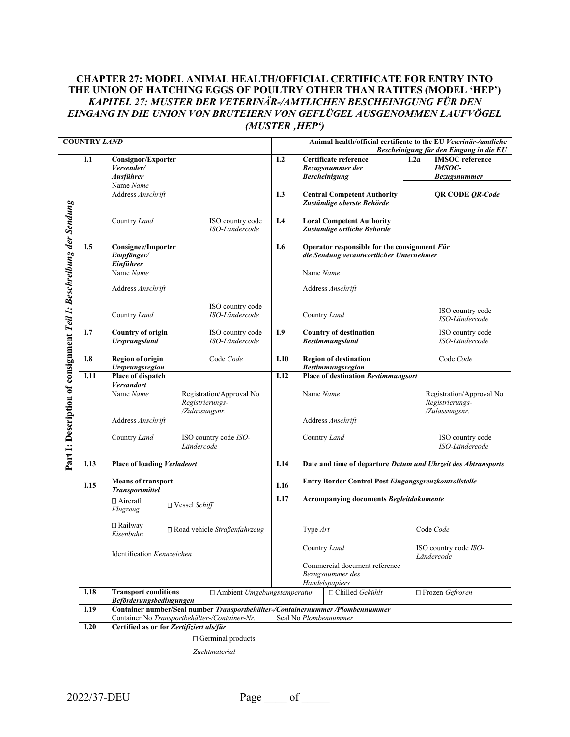### **CHAPTER 27: MODEL ANIMAL HEALTH/OFFICIAL CERTIFICATE FOR ENTRY INTO THE UNION OF HATCHING EGGS OF POULTRY OTHER THAN RATITES (MODEL 'HEP')** *KAPITEL 27: MUSTER DER VETERINÄR-/AMTLICHEN BESCHEINIGUNG FÜR DEN EINGANG IN DIE UNION VON BRUTEIERN VON GEFLÜGEL AUSGENOMMEN LAUFVÖGEL (MUSTER 'HEP')*

|                                                                     | <b>COUNTRY LAND</b> |                                                                                                                                 |                      |                                                               |      |                                                                                          | Animal health/official certificate to the EU Veterinär-/amtliche    |                                    | Bescheinigung für den Eingang in die EU                        |
|---------------------------------------------------------------------|---------------------|---------------------------------------------------------------------------------------------------------------------------------|----------------------|---------------------------------------------------------------|------|------------------------------------------------------------------------------------------|---------------------------------------------------------------------|------------------------------------|----------------------------------------------------------------|
|                                                                     | I.1                 | Consignor/Exporter<br>Versender/<br>Ausführer<br>Name Name                                                                      |                      |                                                               | I.2  |                                                                                          | Certificate reference<br>Bezugsnummer der<br><b>Bescheinigung</b>   | I.2a                               | <b>IMSOC</b> reference<br><b>IMSOC-</b><br><b>Bezugsnummer</b> |
|                                                                     |                     | Address Anschrift                                                                                                               |                      |                                                               | I.3  |                                                                                          | <b>Central Competent Authority</b><br>Zuständige oberste Behörde    |                                    | <b>QR CODE QR-Code</b>                                         |
|                                                                     |                     | Country Land                                                                                                                    |                      | ISO country code<br>ISO-Ländercode                            | I.4  |                                                                                          | <b>Local Competent Authority</b><br>Zuständige örtliche Behörde     |                                    |                                                                |
|                                                                     | I.5                 | Consignee/Importer<br>Empfänger/<br>Einführer                                                                                   |                      |                                                               | I.6  | Operator responsible for the consignment Für<br>die Sendung verantwortlicher Unternehmer |                                                                     |                                    |                                                                |
|                                                                     |                     | Name Name                                                                                                                       |                      |                                                               |      | Name Name                                                                                |                                                                     |                                    |                                                                |
|                                                                     |                     | Address Anschrift                                                                                                               |                      |                                                               |      |                                                                                          | Address Anschrift                                                   |                                    |                                                                |
|                                                                     |                     | Country Land                                                                                                                    |                      | ISO country code<br>ISO-Ländercode                            |      |                                                                                          | Country Land                                                        |                                    | ISO country code<br>ISO-Ländercode                             |
|                                                                     | I.7                 | <b>Country of origin</b><br><b>Ursprungsland</b>                                                                                |                      | ISO country code<br>ISO-Ländercode                            | I.9  | <b>Country of destination</b><br><b>Bestimmungsland</b>                                  |                                                                     | ISO country code<br>ISO-Ländercode |                                                                |
|                                                                     | I.8                 | <b>Region of origin</b><br><b>Ursprungsregion</b>                                                                               |                      | Code Code                                                     | I.10 |                                                                                          | <b>Region of destination</b><br><b>Bestimmungsregion</b>            |                                    | Code Code                                                      |
|                                                                     | I.11                | Place of dispatch<br><b>Versandort</b>                                                                                          |                      |                                                               | I.12 |                                                                                          | <b>Place of destination Bestimmungsort</b>                          |                                    |                                                                |
| Part 1: Description of consignment Teil 1: Beschreibung der Sendung |                     | Name Name                                                                                                                       |                      | Registration/Approval No<br>Registrierungs-<br>/Zulassungsnr. |      | Name Name                                                                                |                                                                     |                                    | Registration/Approval No<br>Registrierungs-<br>/Zulassungsnr.  |
|                                                                     |                     | Address Anschrift                                                                                                               |                      |                                                               |      |                                                                                          | Address Anschrift                                                   |                                    |                                                                |
|                                                                     |                     | Country Land<br>ISO country code ISO-<br>Ländercode                                                                             |                      |                                                               |      | Country Land                                                                             |                                                                     | ISO country code<br>ISO-Ländercode |                                                                |
|                                                                     | I.13                | <b>Place of loading Verladeort</b>                                                                                              |                      |                                                               |      | I.14<br>Date and time of departure Datum und Uhrzeit des Abtransports                    |                                                                     |                                    |                                                                |
|                                                                     | I.15                | <b>Means of transport</b><br><b>Transportmittel</b>                                                                             |                      |                                                               | I.16 | Entry Border Control Post Eingangsgrenzkontrollstelle                                    |                                                                     |                                    |                                                                |
|                                                                     |                     | □ Aircraft<br>Flugzeug                                                                                                          | $\Box$ Vessel Schiff |                                                               | I.17 |                                                                                          | Accompanying documents Begleitdokumente                             |                                    |                                                                |
|                                                                     |                     | $\Box$ Railway<br>Eisenbahn                                                                                                     |                      | $\square$ Road vehicle Straßenfahrzeug                        |      | Type Art                                                                                 |                                                                     |                                    | Code Code                                                      |
|                                                                     |                     | Identification Kennzeichen                                                                                                      |                      |                                                               |      |                                                                                          | Country Land                                                        |                                    | ISO country code ISO-<br>Ländercode                            |
|                                                                     |                     |                                                                                                                                 |                      |                                                               |      |                                                                                          | Commercial document reference<br>Bezugsnummer des<br>Handelspapiers |                                    |                                                                |
|                                                                     | I.18                | <b>Transport conditions</b><br>Beförderungsbedingungen                                                                          |                      | $\Box$ Ambient Umgebungstemperatur                            |      |                                                                                          | $\Box$ Chilled Gekühlt                                              |                                    | □ Frozen Gefroren                                              |
|                                                                     | I.19                | Container number/Seal number Transportbehälter-/Containernummer /Plombennummer<br>Container No Transportbehälter-/Container-Nr. |                      |                                                               |      |                                                                                          | Seal No Plombennummer                                               |                                    |                                                                |
|                                                                     | I.20                | Certified as or for Zertifiziert als/für                                                                                        |                      |                                                               |      |                                                                                          |                                                                     |                                    |                                                                |
|                                                                     |                     |                                                                                                                                 |                      | $\Box$ Germinal products                                      |      |                                                                                          |                                                                     |                                    |                                                                |
|                                                                     | Zuchtmaterial       |                                                                                                                                 |                      |                                                               |      |                                                                                          |                                                                     |                                    |                                                                |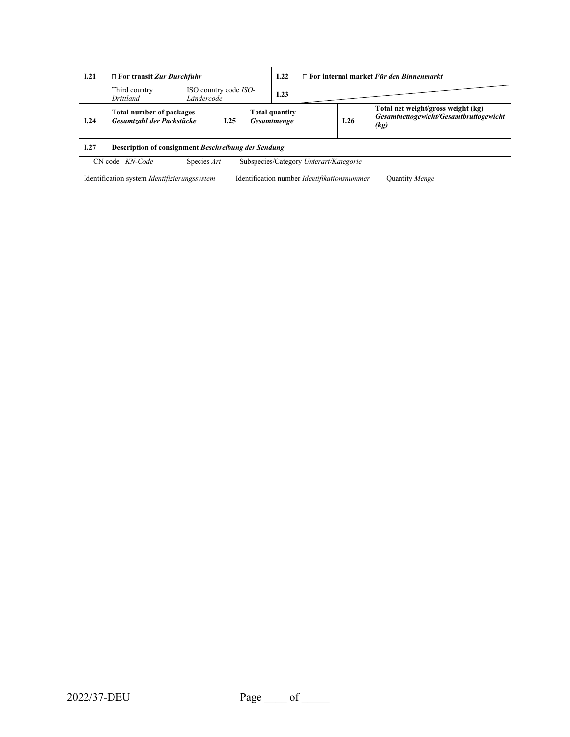| I.21 | $\Box$ For transit Zur Durchfuhr                      |             |                       | 1.22                                        | $\Box$ For internal market Für den Binnenmarkt |                                                                                      |  |  |
|------|-------------------------------------------------------|-------------|-----------------------|---------------------------------------------|------------------------------------------------|--------------------------------------------------------------------------------------|--|--|
|      | Third country<br>Drittland                            | Ländercode  | ISO country code ISO- | I.23                                        |                                                |                                                                                      |  |  |
| I.24 | Total number of packages<br>Gesamtzahl der Packstücke |             | I.25                  | <b>Total quantity</b><br>Gesamtmenge        | I.26                                           | Total net weight/gross weight (kg)<br>Gesamtnettogewicht/Gesamtbruttogewicht<br>(kg) |  |  |
| I.27 | Description of consignment Beschreibung der Sendung   |             |                       |                                             |                                                |                                                                                      |  |  |
|      | CN code KN-Code                                       | Species Art |                       | Subspecies/Category Unterart/Kategorie      |                                                |                                                                                      |  |  |
|      | Identification system <i>Identifizierungssystem</i>   |             |                       | Identification number Identifikationsnummer |                                                | Quantity Menge                                                                       |  |  |
|      |                                                       |             |                       |                                             |                                                |                                                                                      |  |  |
|      |                                                       |             |                       |                                             |                                                |                                                                                      |  |  |
|      |                                                       |             |                       |                                             |                                                |                                                                                      |  |  |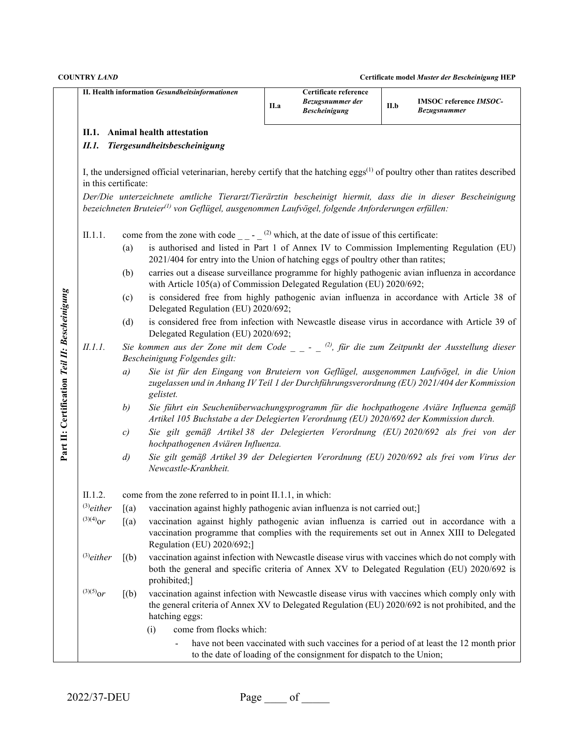|                                               |                      |                                                                                                                                               | II. Health information Gesundheitsinformationen                                                                                                                                                                                                                                         | II.a                                                                                                                                                                      | Certificate reference<br>Bezugsnummer der<br><b>Bescheinigung</b>    | II.b | <b>IMSOC</b> reference <i>IMSOC</i> -<br><b>Bezugsnummer</b>                            |  |  |  |  |
|-----------------------------------------------|----------------------|-----------------------------------------------------------------------------------------------------------------------------------------------|-----------------------------------------------------------------------------------------------------------------------------------------------------------------------------------------------------------------------------------------------------------------------------------------|---------------------------------------------------------------------------------------------------------------------------------------------------------------------------|----------------------------------------------------------------------|------|-----------------------------------------------------------------------------------------|--|--|--|--|
|                                               | П.1.                 |                                                                                                                                               | Animal health attestation                                                                                                                                                                                                                                                               |                                                                                                                                                                           |                                                                      |      |                                                                                         |  |  |  |  |
|                                               | II.1.                |                                                                                                                                               | Tiergesundheitsbescheinigung                                                                                                                                                                                                                                                            |                                                                                                                                                                           |                                                                      |      |                                                                                         |  |  |  |  |
|                                               |                      |                                                                                                                                               |                                                                                                                                                                                                                                                                                         |                                                                                                                                                                           |                                                                      |      |                                                                                         |  |  |  |  |
|                                               | in this certificate: |                                                                                                                                               | I, the undersigned official veterinarian, hereby certify that the hatching eggs <sup>(1)</sup> of poultry other than ratites described                                                                                                                                                  |                                                                                                                                                                           |                                                                      |      |                                                                                         |  |  |  |  |
|                                               |                      |                                                                                                                                               | Der/Die unterzeichnete amtliche Tierarzt/Tierärztin bescheinigt hiermit, dass die in dieser Bescheinigung<br>bezeichneten Bruteier <sup>(1)</sup> von Geflügel, ausgenommen Laufvögel, folgende Anforderungen erfüllen:                                                                 |                                                                                                                                                                           |                                                                      |      |                                                                                         |  |  |  |  |
|                                               | II.1.1.              |                                                                                                                                               |                                                                                                                                                                                                                                                                                         |                                                                                                                                                                           |                                                                      |      |                                                                                         |  |  |  |  |
|                                               |                      | (a)                                                                                                                                           | come from the zone with code $\qquad$ – $\qquad$ (2) which, at the date of issue of this certificate:<br>is authorised and listed in Part 1 of Annex IV to Commission Implementing Regulation (EU)<br>2021/404 for entry into the Union of hatching eggs of poultry other than ratites; |                                                                                                                                                                           |                                                                      |      |                                                                                         |  |  |  |  |
|                                               |                      | (b)                                                                                                                                           |                                                                                                                                                                                                                                                                                         | carries out a disease surveillance programme for highly pathogenic avian influenza in accordance<br>with Article 105(a) of Commission Delegated Regulation (EU) 2020/692; |                                                                      |      |                                                                                         |  |  |  |  |
|                                               |                      | (c)                                                                                                                                           |                                                                                                                                                                                                                                                                                         | is considered free from highly pathogenic avian influenza in accordance with Article 38 of<br>Delegated Regulation (EU) 2020/692;                                         |                                                                      |      |                                                                                         |  |  |  |  |
|                                               |                      | is considered free from infection with Newcastle disease virus in accordance with Article 39 of<br>(d)<br>Delegated Regulation (EU) 2020/692; |                                                                                                                                                                                                                                                                                         |                                                                                                                                                                           |                                                                      |      |                                                                                         |  |  |  |  |
|                                               | II.1.1.              |                                                                                                                                               | Sie kommen aus der Zone mit dem Code $\overline{a}$ – $\overline{a}$ (2), für die zum Zeitpunkt der Ausstellung dieser<br>Bescheinigung Folgendes gilt:                                                                                                                                 |                                                                                                                                                                           |                                                                      |      |                                                                                         |  |  |  |  |
| Part II: Certification Teil II: Bescheinigung |                      | a)                                                                                                                                            | Sie ist für den Eingang von Bruteiern von Geflügel, ausgenommen Laufvögel, in die Union<br>zugelassen und in Anhang IV Teil 1 der Durchführungsverordnung (EU) 2021/404 der Kommission<br>gelistet.                                                                                     |                                                                                                                                                                           |                                                                      |      |                                                                                         |  |  |  |  |
|                                               |                      | b)                                                                                                                                            | Sie führt ein Seuchenüberwachungsprogramm für die hochpathogene Aviäre Influenza gemäß<br>Artikel 105 Buchstabe a der Delegierten Verordnung (EU) 2020/692 der Kommission durch.                                                                                                        |                                                                                                                                                                           |                                                                      |      |                                                                                         |  |  |  |  |
|                                               |                      | c)                                                                                                                                            | Sie gilt gemäß Artikel 38 der Delegierten Verordnung (EU) 2020/692 als frei von der<br>hochpathogenen Aviären Influenza.                                                                                                                                                                |                                                                                                                                                                           |                                                                      |      |                                                                                         |  |  |  |  |
|                                               |                      | $\left( d \right)$                                                                                                                            | Sie gilt gemäß Artikel 39 der Delegierten Verordnung (EU) 2020/692 als frei vom Virus der<br>Newcastle-Krankheit.                                                                                                                                                                       |                                                                                                                                                                           |                                                                      |      |                                                                                         |  |  |  |  |
|                                               | II.1.2.              |                                                                                                                                               | come from the zone referred to in point II.1.1, in which:                                                                                                                                                                                                                               |                                                                                                                                                                           |                                                                      |      |                                                                                         |  |  |  |  |
|                                               | $^{(3)}$ either      | [(a)]                                                                                                                                         | vaccination against highly pathogenic avian influenza is not carried out;                                                                                                                                                                                                               |                                                                                                                                                                           |                                                                      |      |                                                                                         |  |  |  |  |
|                                               | $^{(3)(4)}$ or       | (a)                                                                                                                                           | vaccination against highly pathogenic avian influenza is carried out in accordance with a<br>vaccination programme that complies with the requirements set out in Annex XIII to Delegated<br>Regulation (EU) 2020/692;]                                                                 |                                                                                                                                                                           |                                                                      |      |                                                                                         |  |  |  |  |
|                                               | $^{(3)}$ either      | (a)                                                                                                                                           | vaccination against infection with Newcastle disease virus with vaccines which do not comply with<br>both the general and specific criteria of Annex XV to Delegated Regulation (EU) 2020/692 is<br>prohibited;]                                                                        |                                                                                                                                                                           |                                                                      |      |                                                                                         |  |  |  |  |
|                                               | $^{(3)(5)}$ or       | [(b)]                                                                                                                                         | vaccination against infection with Newcastle disease virus with vaccines which comply only with<br>the general criteria of Annex XV to Delegated Regulation (EU) 2020/692 is not prohibited, and the<br>hatching eggs:                                                                  |                                                                                                                                                                           |                                                                      |      |                                                                                         |  |  |  |  |
|                                               |                      |                                                                                                                                               | come from flocks which:<br>(i)                                                                                                                                                                                                                                                          |                                                                                                                                                                           |                                                                      |      |                                                                                         |  |  |  |  |
|                                               |                      |                                                                                                                                               |                                                                                                                                                                                                                                                                                         |                                                                                                                                                                           | to the date of loading of the consignment for dispatch to the Union; |      | have not been vaccinated with such vaccines for a period of at least the 12 month prior |  |  |  |  |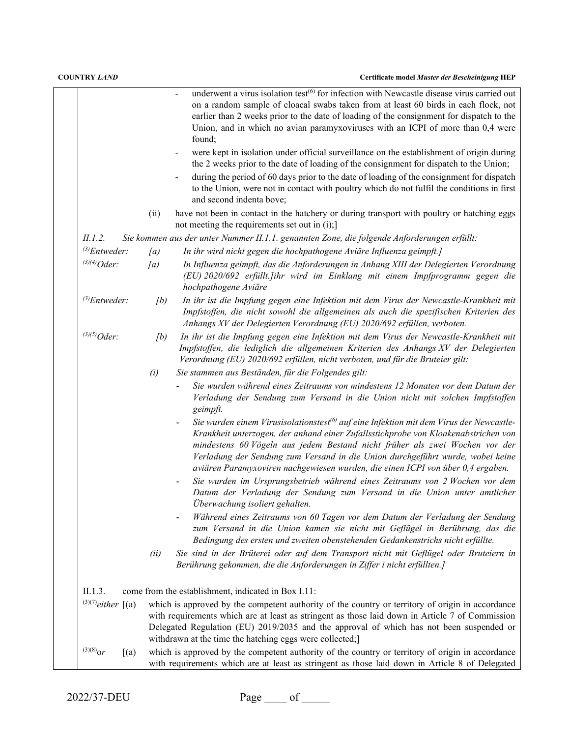|                              |      | underwent a virus isolation test <sup>(6)</sup> for infection with Newcastle disease virus carried out<br>on a random sample of cloacal swabs taken from at least 60 birds in each flock, not<br>earlier than 2 weeks prior to the date of loading of the consignment for dispatch to the<br>Union, and in which no avian paramyxoviruses with an ICPI of more than 0,4 were<br>found;                                                        |
|------------------------------|------|-----------------------------------------------------------------------------------------------------------------------------------------------------------------------------------------------------------------------------------------------------------------------------------------------------------------------------------------------------------------------------------------------------------------------------------------------|
|                              |      | were kept in isolation under official surveillance on the establishment of origin during<br>the 2 weeks prior to the date of loading of the consignment for dispatch to the Union;<br>during the period of 60 days prior to the date of loading of the consignment for dispatch<br>to the Union, were not in contact with poultry which do not fulfil the conditions in first<br>and second indenta bove;                                     |
|                              | (ii) | have not been in contact in the hatchery or during transport with poultry or hatching eggs<br>not meeting the requirements set out in $(i)$ ;                                                                                                                                                                                                                                                                                                 |
| II.1.2.                      |      | Sie kommen aus der unter Nummer II.1.1. genannten Zone, die folgende Anforderungen erfüllt:                                                                                                                                                                                                                                                                                                                                                   |
| $^{(3)}$ Entweder:           | (a)  | In ihr wird nicht gegen die hochpathogene Aviäre Influenza geimpft.]                                                                                                                                                                                                                                                                                                                                                                          |
| $^{(3)(4)}Oder:$             | (a)  | In Influenza geimpft, das die Anforderungen in Anhang XIII der Delegierten Verordnung<br>(EU) 2020/692 erfüllt. Jihr wird im Einklang mit einem Impfprogramm gegen die<br>hochpathogene Aviäre                                                                                                                                                                                                                                                |
| $^{(3)}$ Entweder:           | [b]  | In ihr ist die Impfung gegen eine Infektion mit dem Virus der Newcastle-Krankheit mit<br>Impfstoffen, die nicht sowohl die allgemeinen als auch die spezifischen Kriterien des<br>Anhangs XV der Delegierten Verordnung (EU) 2020/692 erfüllen, verboten.                                                                                                                                                                                     |
| $^{(3)(5)}Oder:$             | (b)  | In ihr ist die Impfung gegen eine Infektion mit dem Virus der Newcastle-Krankheit mit<br>Impfstoffen, die lediglich die allgemeinen Kriterien des Anhangs XV der Delegierten<br>Verordnung (EU) 2020/692 erfüllen, nicht verboten, und für die Bruteier gilt:                                                                                                                                                                                 |
|                              | (i)  | Sie stammen aus Beständen, für die Folgendes gilt:                                                                                                                                                                                                                                                                                                                                                                                            |
|                              |      | Sie wurden während eines Zeitraums von mindestens 12 Monaten vor dem Datum der<br>Verladung der Sendung zum Versand in die Union nicht mit solchen Impfstoffen<br>geimpft.                                                                                                                                                                                                                                                                    |
|                              |      | Sie wurden einem Virusisolationstest <sup>(6)</sup> auf eine Infektion mit dem Virus der Newcastle-<br>Krankheit unterzogen, der anhand einer Zufallsstichprobe von Kloakenabstrichen von<br>mindestens 60 Vögeln aus jedem Bestand nicht früher als zwei Wochen vor der<br>Verladung der Sendung zum Versand in die Union durchgeführt wurde, wobei keine<br>aviären Paramyxoviren nachgewiesen wurden, die einen ICPI von über 0,4 ergaben. |
|                              |      | Sie wurden im Ursprungsbetrieb während eines Zeitraums von 2 Wochen vor dem<br>Datum der Verladung der Sendung zum Versand in die Union unter amtlicher<br>Überwachung isoliert gehalten.                                                                                                                                                                                                                                                     |
|                              |      | Während eines Zeitraums von 60 Tagen vor dem Datum der Verladung der Sendung<br>zum Versand in die Union kamen sie nicht mit Geflügel in Berührung, das die<br>Bedingung des ersten und zweiten obenstehenden Gedankenstrichs nicht erfüllte.                                                                                                                                                                                                 |
|                              | (ii) | Sie sind in der Brüterei oder auf dem Transport nicht mit Geflügel oder Bruteiern in<br>Berührung gekommen, die die Anforderungen in Ziffer i nicht erfüllten.]                                                                                                                                                                                                                                                                               |
| II.1.3.                      |      | come from the establishment, indicated in Box I.11:                                                                                                                                                                                                                                                                                                                                                                                           |
| $(3)(7)$ either $\lceil$ (a) |      | which is approved by the competent authority of the country or territory of origin in accordance<br>with requirements which are at least as stringent as those laid down in Article 7 of Commission<br>Delegated Regulation (EU) 2019/2035 and the approval of which has not been suspended or<br>withdrawn at the time the hatching eggs were collected;]                                                                                    |
| $^{(3)(8)}$ or<br>[(a)]      |      | which is approved by the competent authority of the country or territory of origin in accordance<br>with requirements which are at least as stringent as those laid down in Article 8 of Delegated                                                                                                                                                                                                                                            |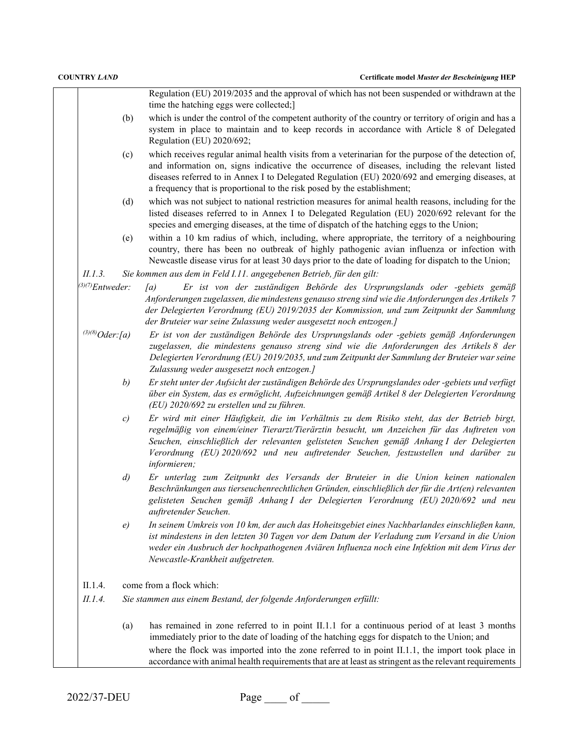|                       | Regulation (EU) 2019/2035 and the approval of which has not been suspended or withdrawn at the<br>time the hatching eggs were collected;]                                                                                                                                                                                                                                                                   |
|-----------------------|-------------------------------------------------------------------------------------------------------------------------------------------------------------------------------------------------------------------------------------------------------------------------------------------------------------------------------------------------------------------------------------------------------------|
| (b)                   | which is under the control of the competent authority of the country or territory of origin and has a<br>system in place to maintain and to keep records in accordance with Article 8 of Delegated<br>Regulation (EU) 2020/692;                                                                                                                                                                             |
| (c)                   | which receives regular animal health visits from a veterinarian for the purpose of the detection of,<br>and information on, signs indicative the occurrence of diseases, including the relevant listed<br>diseases referred to in Annex I to Delegated Regulation (EU) 2020/692 and emerging diseases, at<br>a frequency that is proportional to the risk posed by the establishment;                       |
| (d)                   | which was not subject to national restriction measures for animal health reasons, including for the<br>listed diseases referred to in Annex I to Delegated Regulation (EU) 2020/692 relevant for the<br>species and emerging diseases, at the time of dispatch of the hatching eggs to the Union;                                                                                                           |
| (e)                   | within a 10 km radius of which, including, where appropriate, the territory of a neighbouring<br>country, there has been no outbreak of highly pathogenic avian influenza or infection with<br>Newcastle disease virus for at least 30 days prior to the date of loading for dispatch to the Union;                                                                                                         |
| II.1.3.               | Sie kommen aus dem in Feld I.11. angegebenen Betrieb, für den gilt:                                                                                                                                                                                                                                                                                                                                         |
| $^{(3)(7)}$ Entweder: | Er ist von der zuständigen Behörde des Ursprungslands oder -gebiets gemäß<br>[a]<br>Anforderungen zugelassen, die mindestens genauso streng sind wie die Anforderungen des Artikels 7<br>der Delegierten Verordnung (EU) 2019/2035 der Kommission, und zum Zeitpunkt der Sammlung<br>der Bruteier war seine Zulassung weder ausgesetzt noch entzogen.]                                                      |
| $^{(3)(8)}Oder$ :[a)  | Er ist von der zuständigen Behörde des Ursprungslands oder -gebiets gemäß Anforderungen<br>zugelassen, die mindestens genauso streng sind wie die Anforderungen des Artikels 8 der<br>Delegierten Verordnung (EU) 2019/2035, und zum Zeitpunkt der Sammlung der Bruteier war seine<br>Zulassung weder ausgesetzt noch entzogen.]                                                                            |
| b)                    | Er steht unter der Aufsicht der zuständigen Behörde des Ursprungslandes oder -gebiets und verfügt<br>über ein System, das es ermöglicht, Aufzeichnungen gemäß Artikel 8 der Delegierten Verordnung<br>(EU) 2020/692 zu erstellen und zu führen.                                                                                                                                                             |
| c)                    | Er wird mit einer Häufigkeit, die im Verhältnis zu dem Risiko steht, das der Betrieb birgt,<br>regelmäßig von einem/einer Tierarzt/Tierärztin besucht, um Anzeichen für das Auftreten von<br>Seuchen, einschließlich der relevanten gelisteten Seuchen gemäß Anhang I der Delegierten<br>Verordnung (EU) 2020/692 und neu auftretender Seuchen, festzustellen und darüber zu<br>informieren;                |
| $\left( d \right)$    | Er unterlag zum Zeitpunkt des Versands der Bruteier in die Union keinen nationalen<br>Beschränkungen aus tierseuchenrechtlichen Gründen, einschließlich der für die Art(en) relevanten<br>gelisteten Seuchen gemäß Anhang I der Delegierten Verordnung (EU) 2020/692 und neu<br>auftretender Seuchen.                                                                                                       |
| e)                    | In seinem Umkreis von 10 km, der auch das Hoheitsgebiet eines Nachbarlandes einschließen kann,<br>ist mindestens in den letzten 30 Tagen vor dem Datum der Verladung zum Versand in die Union<br>weder ein Ausbruch der hochpathogenen Aviären Influenza noch eine Infektion mit dem Virus der<br>Newcastle-Krankheit aufgetreten.                                                                          |
| II.1.4.               | come from a flock which:                                                                                                                                                                                                                                                                                                                                                                                    |
| II.1.4.               | Sie stammen aus einem Bestand, der folgende Anforderungen erfüllt:                                                                                                                                                                                                                                                                                                                                          |
| (a)                   | has remained in zone referred to in point II.1.1 for a continuous period of at least 3 months<br>immediately prior to the date of loading of the hatching eggs for dispatch to the Union; and<br>where the flock was imported into the zone referred to in point II.1.1, the import took place in<br>accordance with animal health requirements that are at least as stringent as the relevant requirements |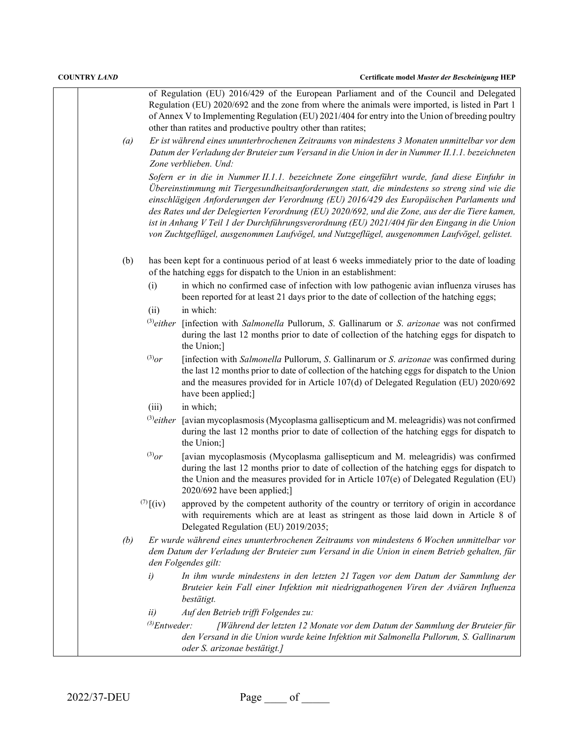| (a) |                    | of Regulation (EU) 2016/429 of the European Parliament and of the Council and Delegated<br>Regulation (EU) 2020/692 and the zone from where the animals were imported, is listed in Part 1<br>of Annex V to Implementing Regulation (EU) 2021/404 for entry into the Union of breeding poultry<br>other than ratites and productive poultry other than ratites;<br>Er ist während eines ununterbrochenen Zeitraums von mindestens 3 Monaten unmittelbar vor dem<br>Datum der Verladung der Bruteier zum Versand in die Union in der in Nummer II.1.1. bezeichneten                                                   |
|-----|--------------------|----------------------------------------------------------------------------------------------------------------------------------------------------------------------------------------------------------------------------------------------------------------------------------------------------------------------------------------------------------------------------------------------------------------------------------------------------------------------------------------------------------------------------------------------------------------------------------------------------------------------|
|     |                    | Zone verblieben. Und:<br>Sofern er in die in Nummer II.1.1. bezeichnete Zone eingeführt wurde, fand diese Einfuhr in<br>Übereinstimmung mit Tiergesundheitsanforderungen statt, die mindestens so streng sind wie die<br>einschlägigen Anforderungen der Verordnung (EU) 2016/429 des Europäischen Parlaments und<br>des Rates und der Delegierten Verordnung (EU) 2020/692, und die Zone, aus der die Tiere kamen,<br>ist in Anhang V Teil 1 der Durchführungsverordnung (EU) 2021/404 für den Eingang in die Union<br>von Zuchtgeflügel, ausgenommen Laufvögel, und Nutzgeflügel, ausgenommen Laufvögel, gelistet. |
| (b) |                    | has been kept for a continuous period of at least 6 weeks immediately prior to the date of loading<br>of the hatching eggs for dispatch to the Union in an establishment:                                                                                                                                                                                                                                                                                                                                                                                                                                            |
|     | (i)                | in which no confirmed case of infection with low pathogenic avian influenza viruses has<br>been reported for at least 21 days prior to the date of collection of the hatching eggs;                                                                                                                                                                                                                                                                                                                                                                                                                                  |
|     | (ii)               | in which:                                                                                                                                                                                                                                                                                                                                                                                                                                                                                                                                                                                                            |
|     | $^{(3)}$ either    | [infection with Salmonella Pullorum, S. Gallinarum or S. arizonae was not confirmed<br>during the last 12 months prior to date of collection of the hatching eggs for dispatch to<br>the Union;]                                                                                                                                                                                                                                                                                                                                                                                                                     |
|     | $^{(3)}$ or        | [infection with Salmonella Pullorum, S. Gallinarum or S. arizonae was confirmed during<br>the last 12 months prior to date of collection of the hatching eggs for dispatch to the Union<br>and the measures provided for in Article 107(d) of Delegated Regulation (EU) 2020/692<br>have been applied;]                                                                                                                                                                                                                                                                                                              |
|     | (iii)              | in which;                                                                                                                                                                                                                                                                                                                                                                                                                                                                                                                                                                                                            |
|     |                    | $^{(3)}$ either [avian mycoplasmosis (Mycoplasma gallisepticum and M. meleagridis) was not confirmed<br>during the last 12 months prior to date of collection of the hatching eggs for dispatch to<br>the Union;]                                                                                                                                                                                                                                                                                                                                                                                                    |
|     | $^{(3)}or$         | [avian mycoplasmosis (Mycoplasma gallisepticum and M. meleagridis) was confirmed<br>during the last 12 months prior to date of collection of the hatching eggs for dispatch to<br>the Union and the measures provided for in Article 107(e) of Delegated Regulation (EU)<br>2020/692 have been applied;]                                                                                                                                                                                                                                                                                                             |
|     | $(7)$ $(iv)$       | approved by the competent authority of the country or territory of origin in accordance<br>with requirements which are at least as stringent as those laid down in Article 8 of<br>Delegated Regulation (EU) 2019/2035;                                                                                                                                                                                                                                                                                                                                                                                              |
| (b) |                    | Er wurde während eines ununterbrochenen Zeitraums von mindestens 6 Wochen unmittelbar vor<br>dem Datum der Verladung der Bruteier zum Versand in die Union in einem Betrieb gehalten, für<br>den Folgendes gilt:                                                                                                                                                                                                                                                                                                                                                                                                     |
|     | i)                 | In ihm wurde mindestens in den letzten 21 Tagen vor dem Datum der Sammlung der<br>Bruteier kein Fall einer Infektion mit niedrigpathogenen Viren der Aviären Influenza<br>bestätigt.                                                                                                                                                                                                                                                                                                                                                                                                                                 |
|     | ii)                | Auf den Betrieb trifft Folgendes zu:                                                                                                                                                                                                                                                                                                                                                                                                                                                                                                                                                                                 |
|     | $^{(3)}$ Entweder: | [Während der letzten 12 Monate vor dem Datum der Sammlung der Bruteier für<br>den Versand in die Union wurde keine Infektion mit Salmonella Pullorum, S. Gallinarum<br>oder S. arizonae bestätigt.]                                                                                                                                                                                                                                                                                                                                                                                                                  |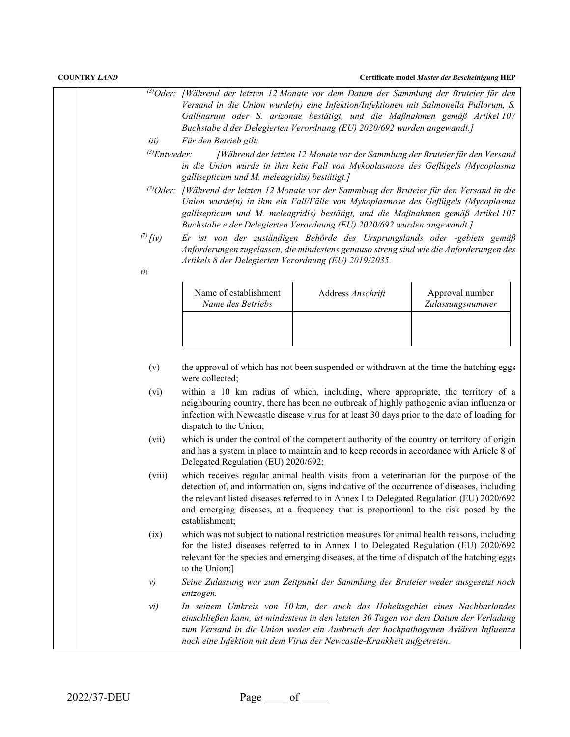|                                    |                                                       | <sup>(3)</sup> Oder: [Während der letzten 12 Monate vor dem Datum der Sammlung der Bruteier für den<br>Versand in die Union wurde(n) eine Infektion/Infektionen mit Salmonella Pullorum, S.<br>Gallinarum oder S. arizonae bestätigt, und die Maßnahmen gemäß Artikel 107<br>Buchstabe d der Delegierten Verordnung (EU) 2020/692 wurden angewandt.]                      |                                     |
|------------------------------------|-------------------------------------------------------|---------------------------------------------------------------------------------------------------------------------------------------------------------------------------------------------------------------------------------------------------------------------------------------------------------------------------------------------------------------------------|-------------------------------------|
| <i>iii</i> )                       | Für den Betrieb gilt:                                 |                                                                                                                                                                                                                                                                                                                                                                           |                                     |
| $^{(3)}$ Entweder:                 | gallisepticum und M. meleagridis) bestätigt.]         | [Während der letzten 12 Monate vor der Sammlung der Bruteier für den Versand<br>in die Union wurde in ihm kein Fall von Mykoplasmose des Geflügels (Mycoplasma                                                                                                                                                                                                            |                                     |
|                                    |                                                       | <sup>3)</sup> Oder: [Während der letzten 12 Monate vor der Sammlung der Bruteier für den Versand in die<br>Union wurde(n) in ihm ein Fall/Fälle von Mykoplasmose des Geflügels (Mycoplasma<br>gallisepticum und M. meleagridis) bestätigt, und die Maßnahmen gemäß Artikel 107<br>Buchstabe e der Delegierten Verordnung (EU) 2020/692 wurden angewandt.]                 |                                     |
| $\frac{7}{l}$ $\frac{1}{l}$<br>(9) | Artikels 8 der Delegierten Verordnung (EU) 2019/2035. | Er ist von der zuständigen Behörde des Ursprungslands oder -gebiets gemäß<br>Anforderungen zugelassen, die mindestens genauso streng sind wie die Anforderungen des                                                                                                                                                                                                       |                                     |
|                                    | Name of establishment<br>Name des Betriebs            | Address Anschrift                                                                                                                                                                                                                                                                                                                                                         | Approval number<br>Zulassungsnummer |
| (v)<br>(vi)                        | were collected;<br>dispatch to the Union;             | the approval of which has not been suspended or withdrawn at the time the hatching eggs<br>within a 10 km radius of which, including, where appropriate, the territory of a<br>neighbouring country, there has been no outbreak of highly pathogenic avian influenza or<br>infection with Newcastle disease virus for at least 30 days prior to the date of loading for   |                                     |
| (vii)                              | Delegated Regulation (EU) 2020/692;                   | which is under the control of the competent authority of the country or territory of origin<br>and has a system in place to maintain and to keep records in accordance with Article 8 of                                                                                                                                                                                  |                                     |
| (viii)                             | establishment;                                        | which receives regular animal health visits from a veterinarian for the purpose of the<br>detection of, and information on, signs indicative of the occurrence of diseases, including<br>the relevant listed diseases referred to in Annex I to Delegated Regulation (EU) 2020/692<br>and emerging diseases, at a frequency that is proportional to the risk posed by the |                                     |
| (ix)                               | to the Union;]                                        | which was not subject to national restriction measures for animal health reasons, including<br>for the listed diseases referred to in Annex I to Delegated Regulation (EU) 2020/692<br>relevant for the species and emerging diseases, at the time of dispatch of the hatching eggs                                                                                       |                                     |
| $\nu$                              | entzogen.                                             | Seine Zulassung war zum Zeitpunkt der Sammlung der Bruteier weder ausgesetzt noch                                                                                                                                                                                                                                                                                         |                                     |
| vi)                                |                                                       | In seinem Umkreis von 10 km, der auch das Hoheitsgebiet eines Nachbarlandes<br>einschließen kann, ist mindestens in den letzten 30 Tagen vor dem Datum der Verladung<br>zum Versand in die Union weder ein Ausbruch der hochpathogenen Aviären Influenza<br>noch eine Infektion mit dem Virus der Newcastle-Krankheit aufgetreten.                                        |                                     |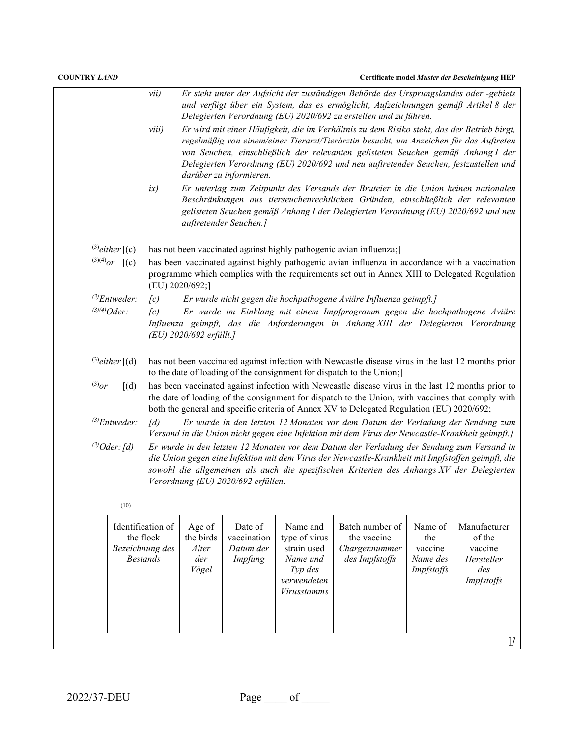| <b>COUNTRY LAND</b>                                                  |                          |                                              |                                                |                                                                                |                                                                                                                                                                                                                                                                                                                                                                   |                                                     | Certificate model Muster der Bescheinigung HEP                       |
|----------------------------------------------------------------------|--------------------------|----------------------------------------------|------------------------------------------------|--------------------------------------------------------------------------------|-------------------------------------------------------------------------------------------------------------------------------------------------------------------------------------------------------------------------------------------------------------------------------------------------------------------------------------------------------------------|-----------------------------------------------------|----------------------------------------------------------------------|
|                                                                      | vii)                     |                                              |                                                |                                                                                | Er steht unter der Aufsicht der zuständigen Behörde des Ursprungslandes oder -gebiets<br>und verfügt über ein System, das es ermöglicht, Aufzeichnungen gemäß Artikel 8 der<br>Delegierten Verordnung (EU) 2020/692 zu erstellen und zu führen.                                                                                                                   |                                                     |                                                                      |
|                                                                      | viii)                    |                                              | darüber zu informieren.                        |                                                                                | Er wird mit einer Häufigkeit, die im Verhältnis zu dem Risiko steht, das der Betrieb birgt,<br>regelmäßig von einem/einer Tierarzt/Tierärztin besucht, um Anzeichen für das Auftreten<br>von Seuchen, einschließlich der relevanten gelisteten Seuchen gemäß Anhang I der<br>Delegierten Verordnung (EU) 2020/692 und neu auftretender Seuchen, festzustellen und |                                                     |                                                                      |
|                                                                      | ix)                      |                                              | auftretender Seuchen.]                         |                                                                                | Er unterlag zum Zeitpunkt des Versands der Bruteier in die Union keinen nationalen<br>Beschränkungen aus tierseuchenrechtlichen Gründen, einschließlich der relevanten<br>gelisteten Seuchen gemäß Anhang I der Delegierten Verordnung (EU) 2020/692 und neu                                                                                                      |                                                     |                                                                      |
| $^{(3)}$ either $[(c)]$                                              |                          |                                              |                                                |                                                                                | has not been vaccinated against highly pathogenic avian influenza;]                                                                                                                                                                                                                                                                                               |                                                     |                                                                      |
| $^{(3)(4)}$ or $[(c)]$                                               |                          | (EU) 2020/692;]                              |                                                |                                                                                | has been vaccinated against highly pathogenic avian influenza in accordance with a vaccination<br>programme which complies with the requirements set out in Annex XIII to Delegated Regulation                                                                                                                                                                    |                                                     |                                                                      |
| $^{(3)}$ Entweder:<br>$^{(3)(4)}Oder:$                               | $\sqrt{c}$<br>$\sqrt{c}$ |                                              |                                                |                                                                                | Er wurde nicht gegen die hochpathogene Aviäre Influenza geimpft.]<br>Er wurde im Einklang mit einem Impfprogramm gegen die hochpathogene Aviäre<br>Influenza geimpft, das die Anforderungen in Anhang XIII der Delegierten Verordnung                                                                                                                             |                                                     |                                                                      |
|                                                                      |                          | (EU) 2020/692 erfüllt.]                      |                                                |                                                                                |                                                                                                                                                                                                                                                                                                                                                                   |                                                     |                                                                      |
| $^{(3)}$ either $[(d)]$                                              |                          |                                              |                                                |                                                                                | has not been vaccinated against infection with Newcastle disease virus in the last 12 months prior<br>to the date of loading of the consignment for dispatch to the Union;]                                                                                                                                                                                       |                                                     |                                                                      |
| $^{(3)}or$<br>$\lceil$ (d)                                           |                          |                                              |                                                |                                                                                | has been vaccinated against infection with Newcastle disease virus in the last 12 months prior to<br>the date of loading of the consignment for dispatch to the Union, with vaccines that comply with<br>both the general and specific criteria of Annex XV to Delegated Regulation (EU) 2020/692;                                                                |                                                     |                                                                      |
| $^{(3)}$ Entweder:                                                   | $\lceil d \rceil$        |                                              |                                                |                                                                                | Er wurde in den letzten 12 Monaten vor dem Datum der Verladung der Sendung zum<br>Versand in die Union nicht gegen eine Infektion mit dem Virus der Newcastle-Krankheit geimpft.]                                                                                                                                                                                 |                                                     |                                                                      |
| $^{(3)}Oder: [d]$                                                    |                          |                                              | Verordnung (EU) 2020/692 erfüllen.             |                                                                                | Er wurde in den letzten 12 Monaten vor dem Datum der Verladung der Sendung zum Versand in<br>die Union gegen eine Infektion mit dem Virus der Newcastle-Krankheit mit Impfstoffen geimpft, die<br>sowohl die allgemeinen als auch die spezifischen Kriterien des Anhangs XV der Delegierten                                                                       |                                                     |                                                                      |
| (10)                                                                 |                          |                                              |                                                |                                                                                |                                                                                                                                                                                                                                                                                                                                                                   |                                                     |                                                                      |
| Identification of<br>the flock<br>Bezeichnung des<br><b>Bestands</b> |                          | Age of<br>the birds<br>Alter<br>der<br>Vögel | Date of<br>vaccination<br>Datum der<br>Impfung | Name and<br>type of virus<br>strain used<br>Name und<br>Typ des<br>verwendeten | Batch number of<br>the vaccine<br>Chargennummer<br>des Impfstoffs                                                                                                                                                                                                                                                                                                 | Name of<br>the<br>vaccine<br>Name des<br>Impfstoffs | Manufacturer<br>of the<br>vaccine<br>Hersteller<br>des<br>Impfstoffs |

2022/37-DEU Page of <u>equal</u> of the set of the set of the set of the set of the set of the set of the set of the set of the set of the set of the set of the set of the set of the set of the set of the set of the set of the

*Virusstamms*

]*]*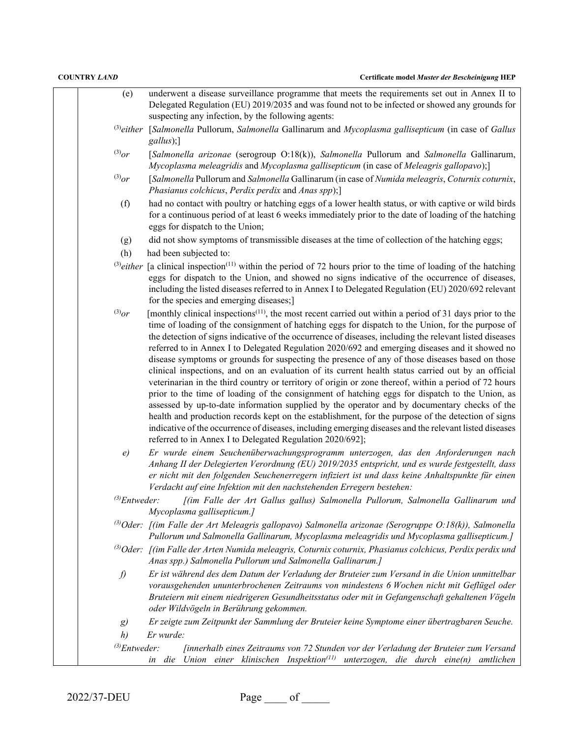| (e)                | underwent a disease surveillance programme that meets the requirements set out in Annex II to                                                                                                                |
|--------------------|--------------------------------------------------------------------------------------------------------------------------------------------------------------------------------------------------------------|
|                    | Delegated Regulation (EU) 2019/2035 and was found not to be infected or showed any grounds for                                                                                                               |
|                    | suspecting any infection, by the following agents:                                                                                                                                                           |
| $^{(3)}$ either    |                                                                                                                                                                                                              |
|                    | [Salmonella Pullorum, Salmonella Gallinarum and Mycoplasma gallisepticum (in case of Gallus<br>gallus);]                                                                                                     |
| $^{(3)}$ or        | [Salmonella arizonae (serogroup O:18(k)), Salmonella Pullorum and Salmonella Gallinarum,                                                                                                                     |
|                    | Mycoplasma meleagridis and Mycoplasma gallisepticum (in case of Meleagris gallopavo);]                                                                                                                       |
| $^{(3)}$ or        | [Salmonella Pullorum and Salmonella Gallinarum (in case of Numida meleagris, Coturnix coturnix,                                                                                                              |
|                    | Phasianus colchicus, Perdix perdix and Anas spp);]                                                                                                                                                           |
| (f)                | had no contact with poultry or hatching eggs of a lower health status, or with captive or wild birds                                                                                                         |
|                    | for a continuous period of at least 6 weeks immediately prior to the date of loading of the hatching                                                                                                         |
|                    | eggs for dispatch to the Union;                                                                                                                                                                              |
| (g)                | did not show symptoms of transmissible diseases at the time of collection of the hatching eggs;                                                                                                              |
| (h)                | had been subjected to:                                                                                                                                                                                       |
| $^{(3)}$ either    | [a clinical inspection <sup>(11)</sup> within the period of 72 hours prior to the time of loading of the hatching                                                                                            |
|                    | eggs for dispatch to the Union, and showed no signs indicative of the occurrence of diseases,                                                                                                                |
|                    | including the listed diseases referred to in Annex I to Delegated Regulation (EU) 2020/692 relevant                                                                                                          |
|                    | for the species and emerging diseases;]                                                                                                                                                                      |
| $^{(3)}$ or        | [monthly clinical inspections <sup>(11)</sup> , the most recent carried out within a period of 31 days prior to the                                                                                          |
|                    | time of loading of the consignment of hatching eggs for dispatch to the Union, for the purpose of                                                                                                            |
|                    | the detection of signs indicative of the occurrence of diseases, including the relevant listed diseases                                                                                                      |
|                    | referred to in Annex I to Delegated Regulation 2020/692 and emerging diseases and it showed no                                                                                                               |
|                    | disease symptoms or grounds for suspecting the presence of any of those diseases based on those                                                                                                              |
|                    | clinical inspections, and on an evaluation of its current health status carried out by an official                                                                                                           |
|                    | veterinarian in the third country or territory of origin or zone thereof, within a period of 72 hours                                                                                                        |
|                    | prior to the time of loading of the consignment of hatching eggs for dispatch to the Union, as                                                                                                               |
|                    | assessed by up-to-date information supplied by the operator and by documentary checks of the                                                                                                                 |
|                    | health and production records kept on the establishment, for the purpose of the detection of signs<br>indicative of the occurrence of diseases, including emerging diseases and the relevant listed diseases |
|                    | referred to in Annex I to Delegated Regulation 2020/692];                                                                                                                                                    |
| e)                 | Er wurde einem Seuchenüberwachungsprogramm unterzogen, das den Anforderungen nach                                                                                                                            |
|                    | Anhang II der Delegierten Verordnung (EU) 2019/2035 entspricht, und es wurde festgestellt, dass                                                                                                              |
|                    | er nicht mit den folgenden Seuchenerregern infiziert ist und dass keine Anhaltspunkte für einen                                                                                                              |
|                    | Verdacht auf eine Infektion mit den nachstehenden Erregern bestehen:                                                                                                                                         |
| $^{(3)}$ Entweder: | [(im Falle der Art Gallus gallus) Salmonella Pullorum, Salmonella Gallinarum und                                                                                                                             |
|                    | Mycoplasma gallisepticum.]                                                                                                                                                                                   |
|                    | <sup>(3)</sup> Oder: [(im Falle der Art Meleagris gallopavo) Salmonella arizonae (Serogruppe O:18(k)), Salmonella                                                                                            |
|                    | Pullorum und Salmonella Gallinarum, Mycoplasma meleagridis und Mycoplasma gallisepticum.]                                                                                                                    |
|                    | <sup>(3)</sup> Oder: [(im Falle der Arten Numida meleagris, Coturnix coturnix, Phasianus colchicus, Perdix perdix und                                                                                        |
|                    | Anas spp.) Salmonella Pullorum und Salmonella Gallinarum.]                                                                                                                                                   |
| f)                 | Er ist während des dem Datum der Verladung der Bruteier zum Versand in die Union unmittelbar                                                                                                                 |
|                    | vorausgehenden ununterbrochenen Zeitraums von mindestens 6 Wochen nicht mit Geflügel oder                                                                                                                    |
|                    | Bruteiern mit einem niedrigeren Gesundheitsstatus oder mit in Gefangenschaft gehaltenen Vögeln                                                                                                               |
|                    | oder Wildvögeln in Berührung gekommen.                                                                                                                                                                       |
| g)                 | Er zeigte zum Zeitpunkt der Sammlung der Bruteier keine Symptome einer übertragbaren Seuche.                                                                                                                 |
| h)                 | Er wurde:                                                                                                                                                                                                    |
| $^{(3)}$ Entweder: | [innerhalb eines Zeitraums von 72 Stunden vor der Verladung der Bruteier zum Versand                                                                                                                         |
|                    | Union einer klinischen Inspektion <sup><math>(11)</math></sup> unterzogen, die durch eine $(n)$ amtlichen<br>in die                                                                                          |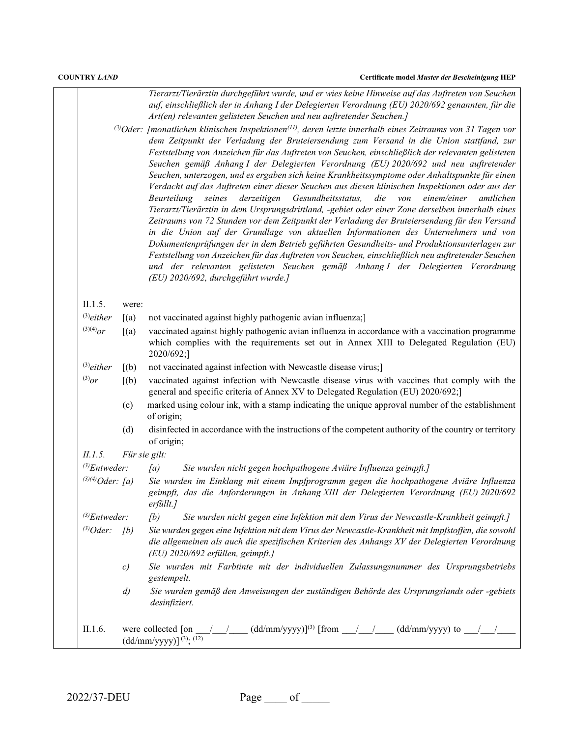*Tierarzt/Tierärztin durchgeführt wurde, und er wies keine Hinweise auf das Auftreten von Seuchen auf, einschließlich der in Anhang I der Delegierten Verordnung (EU) 2020/692 genannten, für die Art(en) relevanten gelisteten Seuchen und neu auftretender Seuchen.]*

*(3)Oder: [monatlichen klinischen Inspektionen(11), deren letzte innerhalb eines Zeitraums von 31 Tagen vor dem Zeitpunkt der Verladung der Bruteiersendung zum Versand in die Union stattfand, zur Feststellung von Anzeichen für das Auftreten von Seuchen, einschließlich der relevanten gelisteten Seuchen gemäß Anhang I der Delegierten Verordnung (EU) 2020/692 und neu auftretender Seuchen, unterzogen, und es ergaben sich keine Krankheitssymptome oder Anhaltspunkte für einen Verdacht auf das Auftreten einer dieser Seuchen aus diesen klinischen Inspektionen oder aus der Beurteilung seines derzeitigen Gesundheitsstatus, die von einem/einer amtlichen Tierarzt/Tierärztin in dem Ursprungsdrittland, -gebiet oder einer Zone derselben innerhalb eines Zeitraums von 72 Stunden vor dem Zeitpunkt der Verladung der Bruteiersendung für den Versand in die Union auf der Grundlage von aktuellen Informationen des Unternehmers und von Dokumentenprüfungen der in dem Betrieb geführten Gesundheits- und Produktionsunterlagen zur Feststellung von Anzeichen für das Auftreten von Seuchen, einschließlich neu auftretender Seuchen und der relevanten gelisteten Seuchen gemäß Anhang I der Delegierten Verordnung (EU) 2020/692, durchgeführt wurde.]*

### II.1.5. were:

|  | $^{(3)}$ either $[(a)$ not vaccinated against highly pathogenic avian influenza; |  |  |  |
|--|----------------------------------------------------------------------------------|--|--|--|
|  |                                                                                  |  |  |  |

- $(3)(4)$ or  $[(a)$  vaccinated against highly pathogenic avian influenza in accordance with a vaccination programme which complies with the requirements set out in Annex XIII to Delegated Regulation (EU) 2020/692;]
- (3)*either* [(b) not vaccinated against infection with Newcastle disease virus;]
- $^{(3)}$ or [(b) vaccinated against infection with Newcastle disease virus with vaccines that comply with the general and specific criteria of Annex XV to Delegated Regulation (EU) 2020/692;]
	- (c) marked using colour ink, with a stamp indicating the unique approval number of the establishment of origin;
	- (d) disinfected in accordance with the instructions of the competent authority of the country or territory of origin;

*II.1.5. Für sie gilt:*

- *(3)Entweder: [a) Sie wurden nicht gegen hochpathogene Aviäre Influenza geimpft.]*
- *(3)(4)Oder: [a) Sie wurden im Einklang mit einem Impfprogramm gegen die hochpathogene Aviäre Influenza geimpft, das die Anforderungen in Anhang XIII der Delegierten Verordnung (EU) 2020/692 erfüllt.] (3)Entweder: [b) Sie wurden nicht gegen eine Infektion mit dem Virus der Newcastle-Krankheit geimpft.]*

*(3)Oder: [b) Sie wurden gegen eine Infektion mit dem Virus der Newcastle-Krankheit mit Impfstoffen, die sowohl die allgemeinen als auch die spezifischen Kriterien des Anhangs XV der Delegierten Verordnung (EU) 2020/692 erfüllen, geimpft.]*

- *c) Sie wurden mit Farbtinte mit der individuellen Zulassungsnummer des Ursprungsbetriebs gestempelt.*
- *d) Sie wurden gemäß den Anweisungen der zuständigen Behörde des Ursprungslands oder -gebiets desinfiziert.*

## II.1.6. were collected [on  $\frac{1}{2}$  /  $\frac{1}{2}$  (dd/mm/yyyy)]<sup>(3)</sup> [from  $\frac{1}{2}$  /  $\frac{1}{2}$  (dd/mm/yyyy) to  $\frac{1}{2}$  $\left(\frac{dd}{m}w\right)\frac{yyyy}{\sin\left(\frac{3}{2}\right)}$ ; (12)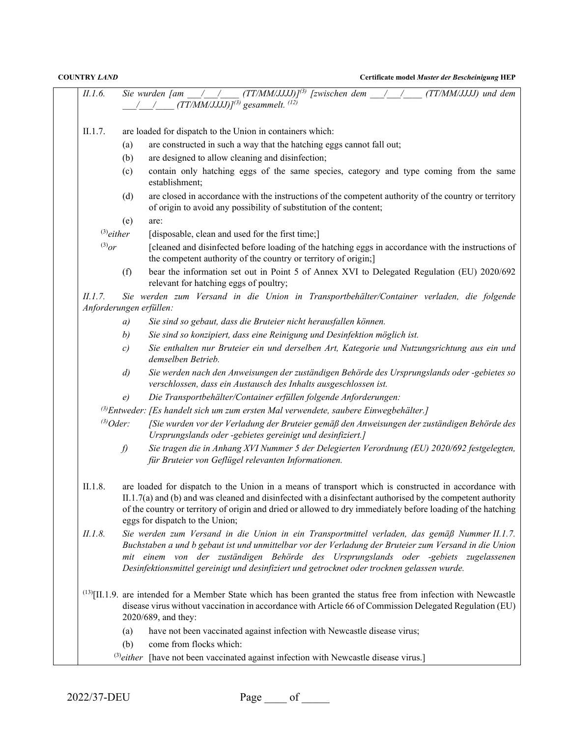| II.1.6.        |                   | Sie wurden [am $\frac{1}{\sqrt{1-(1-\frac{1}{2})}}$ (TT/MM/JJJJ)] <sup>(3)</sup> [zwischen dem $\frac{1}{\sqrt{1-(1-\frac{1}{2})}}$ (TT/MM/JJJJ) und dem<br>$(TT/MM/JJJJ)^{(3)}$ gesammelt. <sup>(12)</sup>                                                                                                                                                                                  |
|----------------|-------------------|----------------------------------------------------------------------------------------------------------------------------------------------------------------------------------------------------------------------------------------------------------------------------------------------------------------------------------------------------------------------------------------------|
| II.1.7.        |                   | are loaded for dispatch to the Union in containers which:                                                                                                                                                                                                                                                                                                                                    |
|                | (a)               | are constructed in such a way that the hatching eggs cannot fall out;                                                                                                                                                                                                                                                                                                                        |
|                | (b)               | are designed to allow cleaning and disinfection;                                                                                                                                                                                                                                                                                                                                             |
|                | (c)               | contain only hatching eggs of the same species, category and type coming from the same<br>establishment;                                                                                                                                                                                                                                                                                     |
|                | (d)               | are closed in accordance with the instructions of the competent authority of the country or territory<br>of origin to avoid any possibility of substitution of the content;                                                                                                                                                                                                                  |
|                | (e)               | are:                                                                                                                                                                                                                                                                                                                                                                                         |
|                | $^{(3)}$ either   | [disposable, clean and used for the first time;]                                                                                                                                                                                                                                                                                                                                             |
| $^{(3)}$ or    |                   | [cleaned and disinfected before loading of the hatching eggs in accordance with the instructions of<br>the competent authority of the country or territory of origin;]                                                                                                                                                                                                                       |
|                | (f)               | bear the information set out in Point 5 of Annex XVI to Delegated Regulation (EU) 2020/692<br>relevant for hatching eggs of poultry;                                                                                                                                                                                                                                                         |
| <i>II.1.7.</i> |                   | Sie werden zum Versand in die Union in Transportbehälter/Container verladen, die folgende<br>Anforderungen erfüllen:                                                                                                                                                                                                                                                                         |
|                | a)                | Sie sind so gebaut, dass die Bruteier nicht herausfallen können.                                                                                                                                                                                                                                                                                                                             |
|                | b)                | Sie sind so konzipiert, dass eine Reinigung und Desinfektion möglich ist.                                                                                                                                                                                                                                                                                                                    |
|                | $\mathcal{C}$     | Sie enthalten nur Bruteier ein und derselben Art, Kategorie und Nutzungsrichtung aus ein und<br>demselben Betrieb.                                                                                                                                                                                                                                                                           |
|                | $\left( d\right)$ | Sie werden nach den Anweisungen der zuständigen Behörde des Ursprungslands oder -gebietes so<br>verschlossen, dass ein Austausch des Inhalts ausgeschlossen ist.                                                                                                                                                                                                                             |
|                | e)                | Die Transportbehälter/Container erfüllen folgende Anforderungen:                                                                                                                                                                                                                                                                                                                             |
|                |                   | $\beta$ Entweder: [Es handelt sich um zum ersten Mal verwendete, saubere Einwegbehälter.]                                                                                                                                                                                                                                                                                                    |
|                | $^{(3)}Oder$ :    | [Sie wurden vor der Verladung der Bruteier gemäß den Anweisungen der zuständigen Behörde des<br>Ursprungslands oder -gebietes gereinigt und desinfiziert.]                                                                                                                                                                                                                                   |
|                | f)                | Sie tragen die in Anhang XVI Nummer 5 der Delegierten Verordnung (EU) 2020/692 festgelegten,<br>für Bruteier von Geflügel relevanten Informationen.                                                                                                                                                                                                                                          |
| II.1.8.        |                   | are loaded for dispatch to the Union in a means of transport which is constructed in accordance with<br>$II.1.7(a)$ and (b) and was cleaned and disinfected with a disinfectant authorised by the competent authority<br>of the country or territory of origin and dried or allowed to dry immediately before loading of the hatching<br>eggs for dispatch to the Union;                     |
| II.1.8.        |                   | Sie werden zum Versand in die Union in ein Transportmittel verladen, das gemäß Nummer II.1.7.<br>Buchstaben a und b gebaut ist und unmittelbar vor der Verladung der Bruteier zum Versand in die Union<br>mit einem von der zuständigen Behörde des Ursprungslands oder -gebiets zugelassenen<br>Desinfektionsmittel gereinigt und desinfiziert und getrocknet oder trocknen gelassen wurde. |
|                |                   | $^{(13)}$ [II.1.9. are intended for a Member State which has been granted the status free from infection with Newcastle<br>disease virus without vaccination in accordance with Article 66 of Commission Delegated Regulation (EU)<br>2020/689, and they:                                                                                                                                    |
|                | (a)               | have not been vaccinated against infection with Newcastle disease virus;                                                                                                                                                                                                                                                                                                                     |
|                | (b)               | come from flocks which:                                                                                                                                                                                                                                                                                                                                                                      |
|                |                   | $^{(3)}$ either [have not been vaccinated against infection with Newcastle disease virus.]                                                                                                                                                                                                                                                                                                   |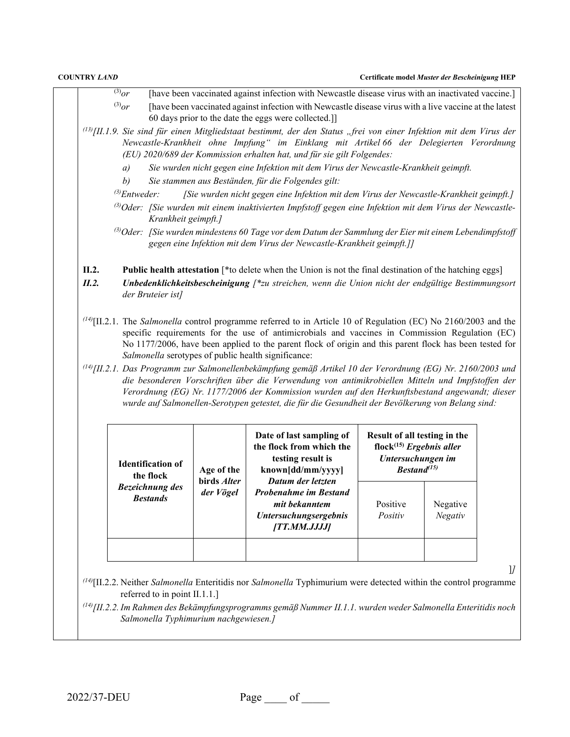- $\frac{3}{(3)}$  [have been vaccinated against infection with Newcastle disease virus with an inactivated vaccine.]  $^{(3)}$ or [have been vaccinated against infection with Newcastle disease virus with a live vaccine at the latest 60 days prior to the date the eggs were collected.]]
- *(13)[II.1.9. Sie sind für einen Mitgliedstaat bestimmt, der den Status "frei von einer Infektion mit dem Virus der Newcastle-Krankheit ohne Impfung" im Einklang mit Artikel 66 der Delegierten Verordnung (EU) 2020/689 der Kommission erhalten hat, und für sie gilt Folgendes:*
	- *a) Sie wurden nicht gegen eine Infektion mit dem Virus der Newcastle-Krankheit geimpft.*
	- *b) Sie stammen aus Beständen, für die Folgendes gilt:*
	- *(3)Entweder: [Sie wurden nicht gegen eine Infektion mit dem Virus der Newcastle-Krankheit geimpft.]*
	- *(3)Oder: [Sie wurden mit einem inaktivierten Impfstoff gegen eine Infektion mit dem Virus der Newcastle-Krankheit geimpft.]*
	- *(3)Oder: [Sie wurden mindestens 60 Tage vor dem Datum der Sammlung der Eier mit einem Lebendimpfstoff gegen eine Infektion mit dem Virus der Newcastle-Krankheit geimpft.]]*
- **II.2. Public health attestation** [\*to delete when the Union is not the final destination of the hatching eggs]
- *II.2. Unbedenklichkeitsbescheinigung [\*zu streichen, wenn die Union nicht der endgültige Bestimmungsort der Bruteier ist]*
- *(14)*[II.2.1. The *Salmonella* control programme referred to in Article 10 of Regulation (EC) No 2160/2003 and the specific requirements for the use of antimicrobials and vaccines in Commission Regulation (EC) No 1177/2006, have been applied to the parent flock of origin and this parent flock has been tested for *Salmonella* serotypes of public health significance:
- *(14)[II.2.1. Das Programm zur Salmonellenbekämpfung gemäß Artikel 10 der Verordnung (EG) Nr. 2160/2003 und die besonderen Vorschriften über die Verwendung von antimikrobiellen Mitteln und Impfstoffen der Verordnung (EG) Nr. 1177/2006 der Kommission wurden auf den Herkunftsbestand angewandt; dieser wurde auf Salmonellen-Serotypen getestet, die für die Gesundheit der Bevölkerung von Belang sind:*

| <b>Identification of</b><br>the flock     | Age of the                      | Date of last sampling of<br>the flock from which the<br>testing result is<br>known[dd/mm/yyyy]                     | Result of all testing in the<br>flock <sup><math>(15)</math></sup> Ergebnis aller<br>Untersuchungen im<br>$\textit{Bestand}^{\text{(15)}}$ |                            |  |  |
|-------------------------------------------|---------------------------------|--------------------------------------------------------------------------------------------------------------------|--------------------------------------------------------------------------------------------------------------------------------------------|----------------------------|--|--|
| <b>Bezeichnung des</b><br><b>Bestands</b> | birds <i>Alter</i><br>der Vögel | Datum der letzten<br><b>Probenahme im Bestand</b><br>mit bekanntem<br><b>Untersuchungsergebnis</b><br>[TT.MM.JJJJ] | Positive<br>Positiv                                                                                                                        | Negative<br><b>Negativ</b> |  |  |
|                                           |                                 |                                                                                                                    |                                                                                                                                            |                            |  |  |

]*]*

*(14)*[II.2.2. Neither *Salmonella* Enteritidis nor *Salmonella* Typhimurium were detected within the control programme referred to in point II.1.1.]

*(14)[II.2.2.Im Rahmen des Bekämpfungsprogramms gemäß Nummer II.1.1. wurden weder Salmonella Enteritidis noch Salmonella Typhimurium nachgewiesen.]*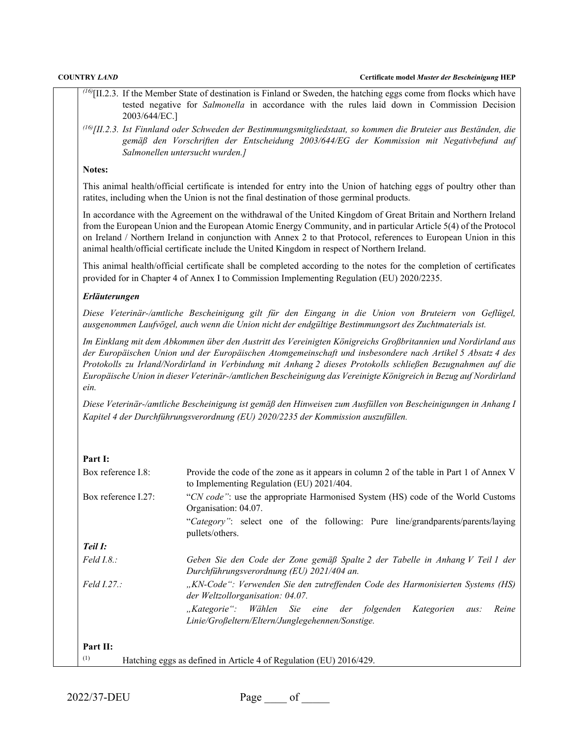| <b>COUNTRY LAND</b><br>Certificate model Muster der Bescheinigung HEP     |                                                                                                                                                                                                                                                                                                                                                                                                                                                             |  |
|---------------------------------------------------------------------------|-------------------------------------------------------------------------------------------------------------------------------------------------------------------------------------------------------------------------------------------------------------------------------------------------------------------------------------------------------------------------------------------------------------------------------------------------------------|--|
|                                                                           | $^{(16)}$ [II.2.3. If the Member State of destination is Finland or Sweden, the hatching eggs come from flocks which have                                                                                                                                                                                                                                                                                                                                   |  |
| 2003/644/EC.]                                                             | tested negative for Salmonella in accordance with the rules laid down in Commission Decision                                                                                                                                                                                                                                                                                                                                                                |  |
|                                                                           | $^{(16)}$ [II.2.3. Ist Finnland oder Schweden der Bestimmungsmitgliedstaat, so kommen die Bruteier aus Beständen, die<br>gemäß den Vorschriften der Entscheidung 2003/644/EG der Kommission mit Negativbefund auf<br>Salmonellen untersucht wurden.]                                                                                                                                                                                                        |  |
| Notes:                                                                    |                                                                                                                                                                                                                                                                                                                                                                                                                                                             |  |
|                                                                           | This animal health/official certificate is intended for entry into the Union of hatching eggs of poultry other than<br>ratites, including when the Union is not the final destination of those germinal products.                                                                                                                                                                                                                                           |  |
|                                                                           | In accordance with the Agreement on the withdrawal of the United Kingdom of Great Britain and Northern Ireland<br>from the European Union and the European Atomic Energy Community, and in particular Article 5(4) of the Protocol<br>on Ireland / Northern Ireland in conjunction with Annex 2 to that Protocol, references to European Union in this<br>animal health/official certificate include the United Kingdom in respect of Northern Ireland.     |  |
|                                                                           | This animal health/official certificate shall be completed according to the notes for the completion of certificates<br>provided for in Chapter 4 of Annex I to Commission Implementing Regulation (EU) 2020/2235.                                                                                                                                                                                                                                          |  |
| Erläuterungen                                                             |                                                                                                                                                                                                                                                                                                                                                                                                                                                             |  |
|                                                                           | Diese Veterinär-/amtliche Bescheinigung gilt für den Eingang in die Union von Bruteiern von Geflügel,<br>ausgenommen Laufvögel, auch wenn die Union nicht der endgültige Bestimmungsort des Zuchtmaterials ist.                                                                                                                                                                                                                                             |  |
| ein.                                                                      | Im Einklang mit dem Abkommen über den Austritt des Vereinigten Königreichs Großbritannien und Nordirland aus<br>der Europäischen Union und der Europäischen Atomgemeinschaft und insbesondere nach Artikel 5 Absatz 4 des<br>Protokolls zu Irland/Nordirland in Verbindung mit Anhang 2 dieses Protokolls schließen Bezugnahmen auf die<br>Europäische Union in dieser Veterinär-/amtlichen Bescheinigung das Vereinigte Königreich in Bezug auf Nordirland |  |
|                                                                           | Diese Veterinär-/amtliche Bescheinigung ist gemäß den Hinweisen zum Ausfüllen von Bescheinigungen in Anhang I<br>Kapitel 4 der Durchführungsverordnung (EU) 2020/2235 der Kommission auszufüllen.                                                                                                                                                                                                                                                           |  |
| Part I:                                                                   |                                                                                                                                                                                                                                                                                                                                                                                                                                                             |  |
| Box reference I.8:                                                        | Provide the code of the zone as it appears in column 2 of the table in Part 1 of Annex V<br>to Implementing Regulation (EU) 2021/404.                                                                                                                                                                                                                                                                                                                       |  |
| Box reference I.27:                                                       | "CN code": use the appropriate Harmonised System (HS) code of the World Customs<br>Organisation: 04.07.                                                                                                                                                                                                                                                                                                                                                     |  |
|                                                                           | "Category": select one of the following: Pure line/grandparents/parents/laying<br>pullets/others.                                                                                                                                                                                                                                                                                                                                                           |  |
| Teil I:                                                                   |                                                                                                                                                                                                                                                                                                                                                                                                                                                             |  |
| Field I.8.:                                                               | Geben Sie den Code der Zone gemäß Spalte 2 der Tabelle in Anhang V Teil 1 der<br>Durchführungsverordnung (EU) 2021/404 an.                                                                                                                                                                                                                                                                                                                                  |  |
| Feld 1.27.:                                                               | "KN-Code": Verwenden Sie den zutreffenden Code des Harmonisierten Systems (HS)<br>der Weltzollorganisation: 04.07.                                                                                                                                                                                                                                                                                                                                          |  |
|                                                                           | "Kategorie":<br>Wählen<br>Sie<br>eine<br>der folgenden<br>Kategorien<br>Reine<br>aus:<br>Linie/Großeltern/Eltern/Junglegehennen/Sonstige.                                                                                                                                                                                                                                                                                                                   |  |
| Part II:                                                                  |                                                                                                                                                                                                                                                                                                                                                                                                                                                             |  |
| (1)<br>Hatching eggs as defined in Article 4 of Regulation (EU) 2016/429. |                                                                                                                                                                                                                                                                                                                                                                                                                                                             |  |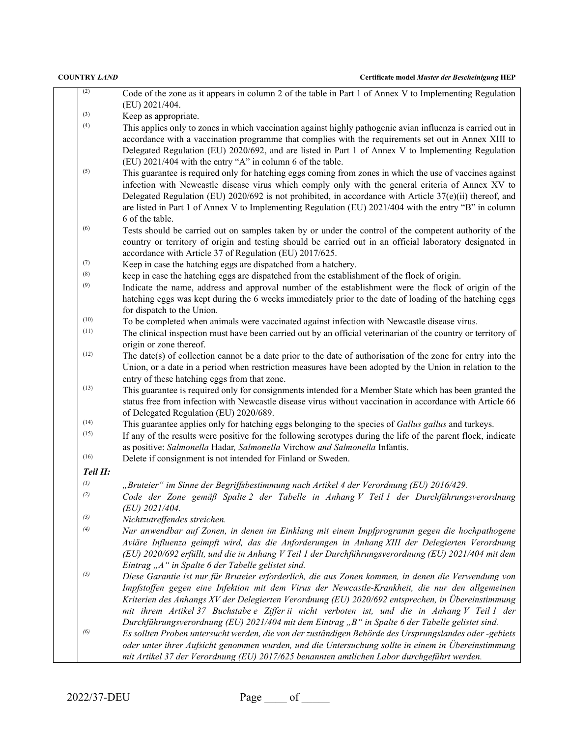| (2)      | Code of the zone as it appears in column 2 of the table in Part 1 of Annex V to Implementing Regulation<br>(EU) 2021/404.                                                                                                                                                                                                                                                                                                                            |
|----------|------------------------------------------------------------------------------------------------------------------------------------------------------------------------------------------------------------------------------------------------------------------------------------------------------------------------------------------------------------------------------------------------------------------------------------------------------|
| (3)      | Keep as appropriate.                                                                                                                                                                                                                                                                                                                                                                                                                                 |
| (4)      |                                                                                                                                                                                                                                                                                                                                                                                                                                                      |
|          | This applies only to zones in which vaccination against highly pathogenic avian influenza is carried out in<br>accordance with a vaccination programme that complies with the requirements set out in Annex XIII to<br>Delegated Regulation (EU) 2020/692, and are listed in Part 1 of Annex V to Implementing Regulation<br>(EU) 2021/404 with the entry "A" in column 6 of the table.                                                              |
| (5)      | This guarantee is required only for hatching eggs coming from zones in which the use of vaccines against<br>infection with Newcastle disease virus which comply only with the general criteria of Annex XV to<br>Delegated Regulation (EU) 2020/692 is not prohibited, in accordance with Article 37(e)(ii) thereof, and<br>are listed in Part 1 of Annex V to Implementing Regulation (EU) 2021/404 with the entry "B" in column<br>6 of the table. |
| (6)      | Tests should be carried out on samples taken by or under the control of the competent authority of the                                                                                                                                                                                                                                                                                                                                               |
|          | country or territory of origin and testing should be carried out in an official laboratory designated in<br>accordance with Article 37 of Regulation (EU) 2017/625.                                                                                                                                                                                                                                                                                  |
| (7)      | Keep in case the hatching eggs are dispatched from a hatchery.                                                                                                                                                                                                                                                                                                                                                                                       |
| (8)      | keep in case the hatching eggs are dispatched from the establishment of the flock of origin.                                                                                                                                                                                                                                                                                                                                                         |
| (9)      | Indicate the name, address and approval number of the establishment were the flock of origin of the                                                                                                                                                                                                                                                                                                                                                  |
|          | hatching eggs was kept during the 6 weeks immediately prior to the date of loading of the hatching eggs<br>for dispatch to the Union.                                                                                                                                                                                                                                                                                                                |
| (10)     | To be completed when animals were vaccinated against infection with Newcastle disease virus.                                                                                                                                                                                                                                                                                                                                                         |
| (11)     | The clinical inspection must have been carried out by an official veterinarian of the country or territory of                                                                                                                                                                                                                                                                                                                                        |
|          | origin or zone thereof.                                                                                                                                                                                                                                                                                                                                                                                                                              |
| (12)     | The date(s) of collection cannot be a date prior to the date of authorisation of the zone for entry into the                                                                                                                                                                                                                                                                                                                                         |
|          | Union, or a date in a period when restriction measures have been adopted by the Union in relation to the                                                                                                                                                                                                                                                                                                                                             |
|          | entry of these hatching eggs from that zone.                                                                                                                                                                                                                                                                                                                                                                                                         |
| (13)     | This guarantee is required only for consignments intended for a Member State which has been granted the                                                                                                                                                                                                                                                                                                                                              |
|          | status free from infection with Newcastle disease virus without vaccination in accordance with Article 66<br>of Delegated Regulation (EU) 2020/689.                                                                                                                                                                                                                                                                                                  |
| (14)     | This guarantee applies only for hatching eggs belonging to the species of Gallus gallus and turkeys.                                                                                                                                                                                                                                                                                                                                                 |
| (15)     | If any of the results were positive for the following serotypes during the life of the parent flock, indicate<br>as positive: Salmonella Hadar, Salmonella Virchow and Salmonella Infantis.                                                                                                                                                                                                                                                          |
| (16)     | Delete if consignment is not intended for Finland or Sweden.                                                                                                                                                                                                                                                                                                                                                                                         |
| Teil II: |                                                                                                                                                                                                                                                                                                                                                                                                                                                      |
| (1)      | "Bruteier" im Sinne der Begriffsbestimmung nach Artikel 4 der Verordnung (EU) 2016/429.                                                                                                                                                                                                                                                                                                                                                              |
| (2)      | Code der Zone gemäß Spalte 2 der Tabelle in Anhang V Teil 1 der Durchführungsverordnung<br>(EU) 2021/404.                                                                                                                                                                                                                                                                                                                                            |
| (3)      | Nichtzutreffendes streichen.                                                                                                                                                                                                                                                                                                                                                                                                                         |
| (4)      | Nur anwendbar auf Zonen, in denen im Einklang mit einem Impfprogramm gegen die hochpathogene                                                                                                                                                                                                                                                                                                                                                         |
|          | Aviäre Influenza geimpft wird, das die Anforderungen in Anhang XIII der Delegierten Verordnung                                                                                                                                                                                                                                                                                                                                                       |
|          | (EU) 2020/692 erfüllt, und die in Anhang V Teil 1 der Durchführungsverordnung (EU) 2021/404 mit dem                                                                                                                                                                                                                                                                                                                                                  |
|          | Eintrag "A" in Spalte 6 der Tabelle gelistet sind.                                                                                                                                                                                                                                                                                                                                                                                                   |
| (5)      | Diese Garantie ist nur für Bruteier erforderlich, die aus Zonen kommen, in denen die Verwendung von                                                                                                                                                                                                                                                                                                                                                  |
|          | Impfstoffen gegen eine Infektion mit dem Virus der Newcastle-Krankheit, die nur den allgemeinen                                                                                                                                                                                                                                                                                                                                                      |
|          | Kriterien des Anhangs XV der Delegierten Verordnung (EU) 2020/692 entsprechen, in Übereinstimmung                                                                                                                                                                                                                                                                                                                                                    |
|          | mit ihrem Artikel 37 Buchstabe e Ziffer ii nicht verboten ist, und die in Anhang V Teil 1 der                                                                                                                                                                                                                                                                                                                                                        |
|          | Durchführungsverordnung (EU) 2021/404 mit dem Eintrag "B" in Spalte 6 der Tabelle gelistet sind.                                                                                                                                                                                                                                                                                                                                                     |
| (6)      | Es sollten Proben untersucht werden, die von der zuständigen Behörde des Ursprungslandes oder -gebiets                                                                                                                                                                                                                                                                                                                                               |
|          | oder unter ihrer Aufsicht genommen wurden, und die Untersuchung sollte in einem in Übereinstimmung                                                                                                                                                                                                                                                                                                                                                   |
|          | mit Artikel 37 der Verordnung (EU) 2017/625 benannten amtlichen Labor durchgeführt werden.                                                                                                                                                                                                                                                                                                                                                           |